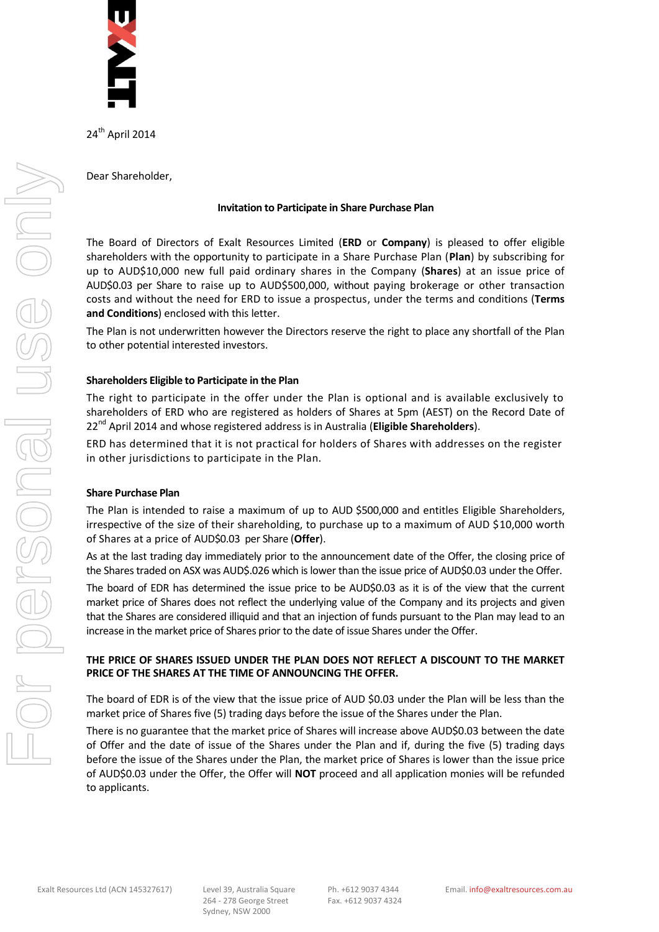

24<sup>th</sup> April 2014

Dear Shareholder,

# **Invitation to Participate in Share Purchase Plan**

The Board of Directors of Exalt Resources Limited (**ERD** or **Company**) is pleased to offer eligible shareholders with the opportunity to participate in a Share Purchase Plan (**Plan**) by subscribing for up to AUD\$10,000 new full paid ordinary shares in the Company (**Shares**) at an issue price of AUD\$0.03 per Share to raise up to AUD\$500,000, without paying brokerage or other transaction costs and without the need for ERD to issue a prospectus, under the terms and conditions (**Terms and Conditions**) enclosed with this letter.

The Plan is not underwritten however the Directors reserve the right to place any shortfall of the Plan to other potential interested investors.

# **Shareholders Eligible to Participate in the Plan**

The right to participate in the offer under the Plan is optional and is available exclusively to shareholders of ERD who are registered as holders of Shares at 5pm (AEST) on the Record Date of 22nd April 2014 and whose registered address is in Australia (**Eligible Shareholders**).

ERD has determined that it is not practical for holders of Shares with addresses on the register in other jurisdictions to participate in the Plan.

# **Share Purchase Plan**

The Plan is intended to raise a maximum of up to AUD \$500,000 and entitles Eligible Shareholders, irrespective of the size of their shareholding, to purchase up to a maximum of AUD \$10,000 worth of Shares at a price of AUD\$0.03 per Share (**Offer**).

As at the last trading day immediately prior to the announcement date of the Offer, the closing price of the Shares traded on ASX was AUD\$.026 which is lower than the issue price of AUD\$0.03 under the Offer.

The board of EDR has determined the issue price to be AUD\$0.03 as it is of the view that the current market price of Shares does not reflect the underlying value of the Company and its projects and given that the Shares are considered illiquid and that an injection of funds pursuant to the Plan may lead to an increase in the market price of Shares prior to the date of issue Shares under the Offer.

# **THE PRICE OF SHARES ISSUED UNDER THE PLAN DOES NOT REFLECT A DISCOUNT TO THE MARKET PRICE OF THE SHARES AT THE TIME OF ANNOUNCING THE OFFER.**

The board of EDR is of the view that the issue price of AUD \$0.03 under the Plan will be less than the market price of Shares five (5) trading days before the issue of the Shares under the Plan.

There is no guarantee that the market price of Shares will increase above AUD\$0.03 between the date of Offer and the date of issue of the Shares under the Plan and if, during the five (5) trading days before the issue of the Shares under the Plan, the market price of Shares is lower than the issue price of AUD\$0.03 under the Offer, the Offer will **NOT** proceed and all application monies will be refunded to applicants.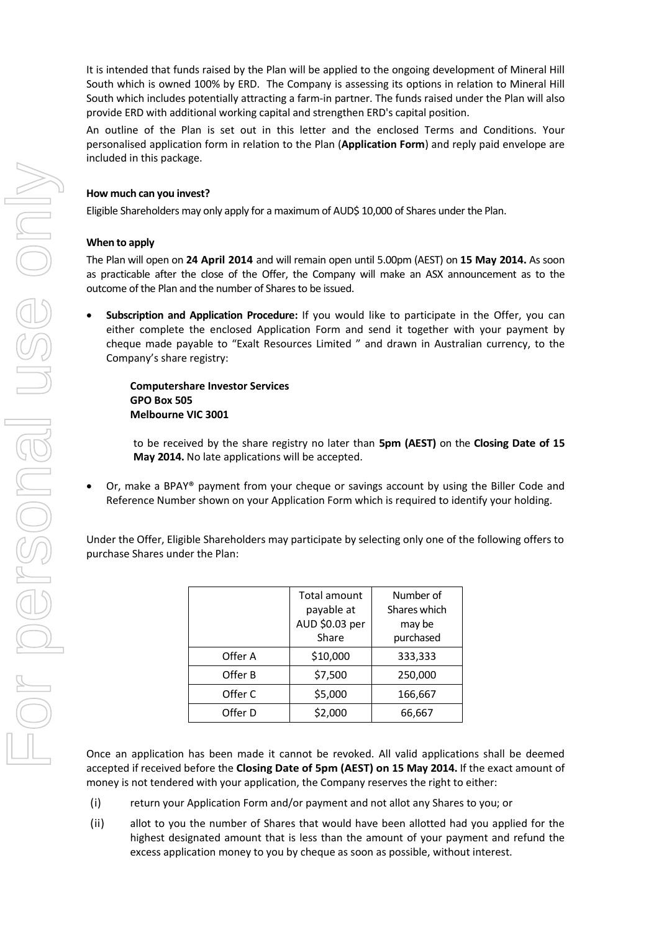It is intended that funds raised by the Plan will be applied to the ongoing development of Mineral Hill South which is owned 100% by ERD. The Company is assessing its options in relation to Mineral Hill South which includes potentially attracting a farm-in partner. The funds raised under the Plan will also provide ERD with additional working capital and strengthen ERD's capital position.

An outline of the Plan is set out in this letter and the enclosed Terms and Conditions. Your personalised application form in relation to the Plan (**Application Form**) and reply paid envelope are included in this package.

# **How much can you invest?**

Eligible Shareholders may only apply for a maximum of AUD\$ 10,000 of Shares under the Plan.

# **When to apply**

The Plan will open on **24 April 2014** and will remain open until 5.00pm (AEST) on **15 May 2014.** As soon as practicable after the close of the Offer, the Company will make an ASX announcement as to the outcome of the Plan and the number of Shares to be issued.

 **Subscription and Application Procedure:** If you would like to participate in the Offer, you can either complete the enclosed Application Form and send it together with your payment by cheque made payable to "Exalt Resources Limited " and drawn in Australian currency, to the Company's share registry:

**Computershare Investor Services GPO Box 505 Melbourne VIC 3001**

to be received by the share registry no later than **5pm (AEST)** on the **Closing Date of 15 May 2014.** No late applications will be accepted.

 Or, make a BPAY® payment from your cheque or savings account by using the Biller Code and Reference Number shown on your Application Form which is required to identify your holding.

Under the Offer, Eligible Shareholders may participate by selecting only one of the following offers to purchase Shares under the Plan:

|         | Total amount<br>payable at<br>AUD \$0.03 per<br>Share | Number of<br>Shares which<br>may be<br>purchased |
|---------|-------------------------------------------------------|--------------------------------------------------|
| Offer A | \$10,000                                              | 333,333                                          |
| Offer B | \$7,500                                               | 250,000                                          |
| Offer C | \$5,000                                               | 166,667                                          |
| Offer D | \$2,000                                               | 66,667                                           |

Once an application has been made it cannot be revoked. All valid applications shall be deemed accepted if received before the **Closing Date of 5pm (AEST) on 15 May 2014.** If the exact amount of money is not tendered with your application, the Company reserves the right to either:

- (i) return your Application Form and/or payment and not allot any Shares to you; or
- (ii) allot to you the number of Shares that would have been allotted had you applied for the highest designated amount that is less than the amount of your payment and refund the excess application money to you by cheque as soon as possible, without interest.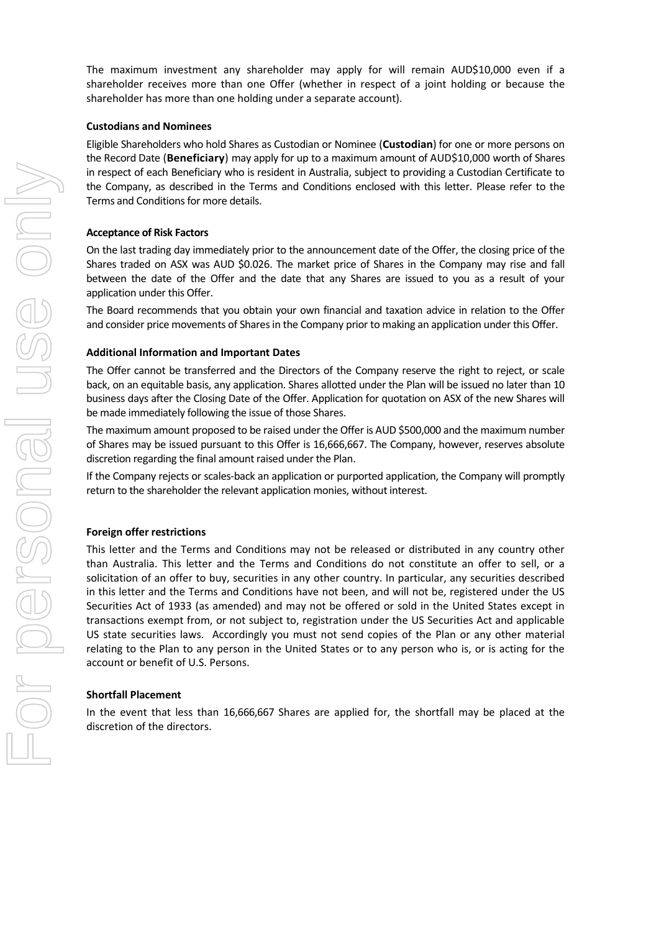The maximum investment any shareholder may apply for will remain AUD\$10,000 even if a shareholder receives more than one Offer (whether in respect of a joint holding or because the shareholder has more than one holding under a separate account).

# **Custodians and Nominees**

Eligible Shareholders who hold Shares as Custodian or Nominee (**Custodian**) for one or more persons on the Record Date (**Beneficiary**) may apply for up to a maximum amount of AUD\$10,000 worth of Shares in respect of each Beneficiary who is resident in Australia, subject to providing a Custodian Certificate to the Company, as described in the Terms and Conditions enclosed with this letter. Please refer to the Terms and Conditions for more details.

## **Acceptance of Risk Factors**

On the last trading day immediately prior to the announcement date of the Offer, the closing price of the Shares traded on ASX was AUD \$0.026. The market price of Shares in the Company may rise and fall between the date of the Offer and the date that any Shares are issued to you as a result of your application under this Offer.

The Board recommends that you obtain your own financial and taxation advice in relation to the Offer and consider price movements of Shares in the Company prior to making an application under this Offer.

### **Additional Information and Important Dates**

The Offer cannot be transferred and the Directors of the Company reserve the right to reject, or scale back, on an equitable basis, any application. Shares allotted under the Plan will be issued no later than 10 business days after the Closing Date of the Offer. Application for quotation on ASX of the new Shares will be made immediately following the issue of those Shares.

The maximum amount proposed to be raised under the Offer is AUD \$500,000 and the maximum number of Shares may be issued pursuant to this Offer is 16,666,667. The Company, however, reserves absolute discretion regarding the final amount raised under the Plan.

If the Company rejects or scales-back an application or purported application, the Company will promptly return to the shareholder the relevant application monies, without interest.

## **Foreign offer restrictions**

This letter and the Terms and Conditions may not be released or distributed in any country other than Australia. This letter and the Terms and Conditions do not constitute an offer to sell, or a solicitation of an offer to buy, securities in any other country. In particular, any securities described in this letter and the Terms and Conditions have not been, and will not be, registered under the US Securities Act of 1933 (as amended) and may not be offered or sold in the United States except in transactions exempt from, or not subject to, registration under the US Securities Act and applicable US state securities laws. Accordingly you must not send copies of the Plan or any other material relating to the Plan to any person in the United States or to any person who is, or is acting for the account or benefit of U.S. Persons.

### **Shortfall Placement**

In the event that less than 16,666,667 Shares are applied for, the shortfall may be placed at the discretion of the directors.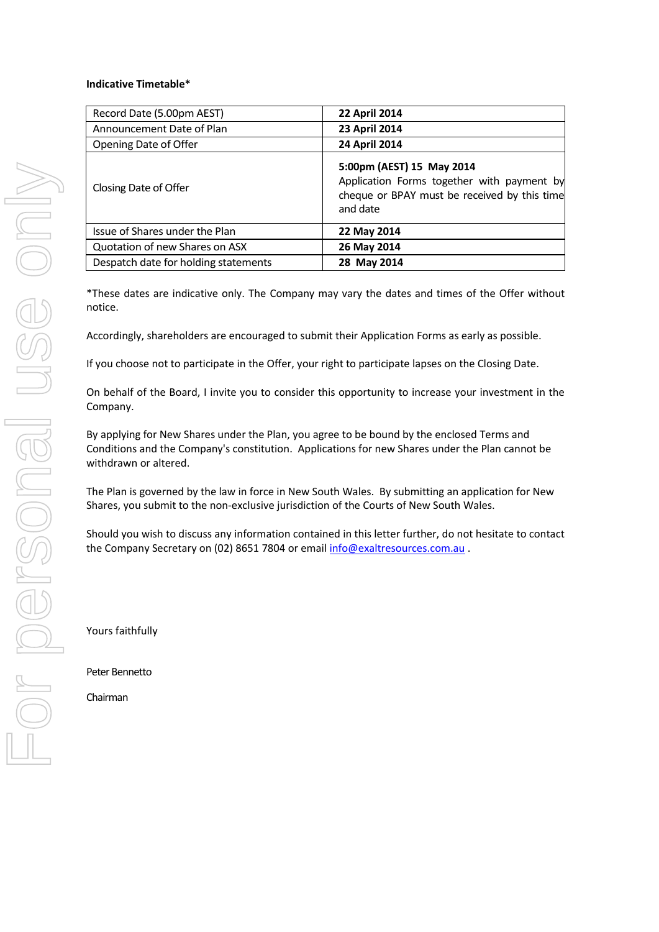# **Indicative Timetable\***

| Record Date (5.00pm AEST)            | <b>22 April 2014</b>                                                                                                                |
|--------------------------------------|-------------------------------------------------------------------------------------------------------------------------------------|
| Announcement Date of Plan            | 23 April 2014                                                                                                                       |
| Opening Date of Offer                | 24 April 2014                                                                                                                       |
| Closing Date of Offer                | 5:00pm (AEST) 15 May 2014<br>Application Forms together with payment by<br>cheque or BPAY must be received by this time<br>and date |
| Issue of Shares under the Plan       | 22 May 2014                                                                                                                         |
| Quotation of new Shares on ASX       | 26 May 2014                                                                                                                         |
| Despatch date for holding statements | 28 May 2014                                                                                                                         |

\*These dates are indicative only. The Company may vary the dates and times of the Offer without notice.

Accordingly, shareholders are encouraged to submit their Application Forms as early as possible.

If you choose not to participate in the Offer, your right to participate lapses on the Closing Date.

On behalf of the Board, I invite you to consider this opportunity to increase your investment in the Company.

By applying for New Shares under the Plan, you agree to be bound by the enclosed Terms and Conditions and the Company's constitution. Applications for new Shares under the Plan cannot be withdrawn or altered.

The Plan is governed by the law in force in New South Wales. By submitting an application for New Shares, you submit to the non-exclusive jurisdiction of the Courts of New South Wales.

Should you wish to discuss any information contained in this letter further, do not hesitate to contact the Company Secretary on (02) 8651 7804 or emai[l info@exaltresources.com.au](mailto:info@exaltresources.com.au).

Yours faithfully

Peter Bennetto

Chairman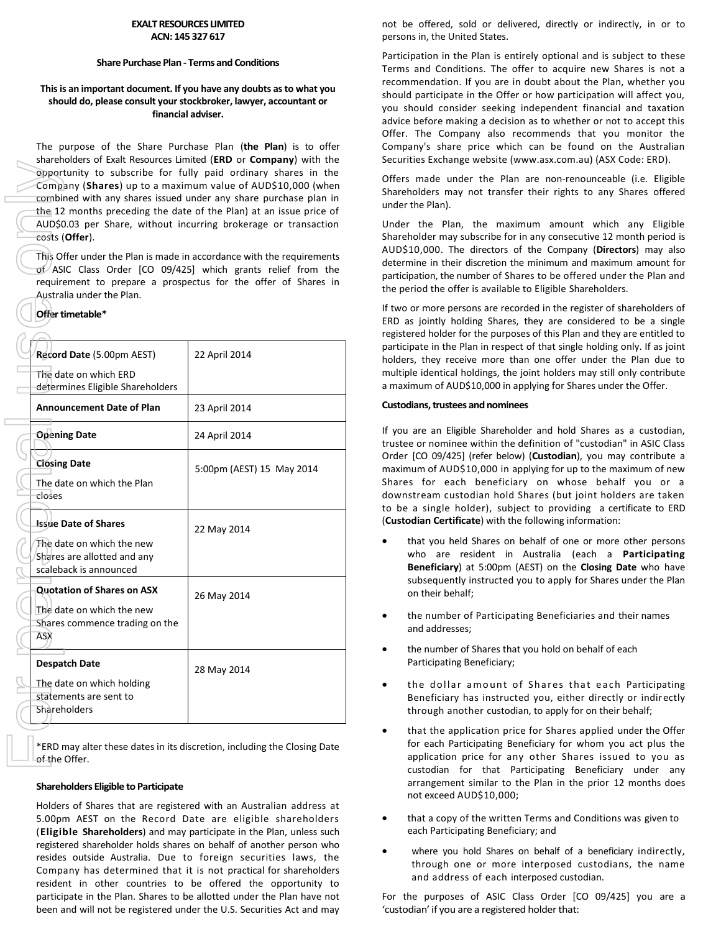#### **EXALT RESOURCES LIMITED ACN: 145 327 617**

#### **Share Purchase Plan - Terms and Conditions**

## **This is an important document. If you have any doubts as to what you should do, please consult your stockbroker, lawyer, accountant or financial adviser.**

The purpose of the Share Purchase Plan (**the Plan**) is to offer shareholders of Exalt Resources Limited (**ERD** or **Company**) with the opportunity to subscribe for fully paid ordinary shares in the Company (**Shares**) up to a maximum value of AUD\$10,000 (when combined with any shares issued under any share purchase plan in the 12 months preceding the date of the Plan) at an issue price of AUD\$0.03 per Share, without incurring brokerage or transaction costs (**Offer**).

This Offer under the Plan is made in accordance with the requirements  $of$  ASIC Class Order [CO 09/425] which grants relief from the requirement to prepare a prospectus for the offer of Shares in Australia under the Plan.

## **Offer timetable\***

| Record Date (5.00pm AEST)                                                                                         | 22 April 2014             |
|-------------------------------------------------------------------------------------------------------------------|---------------------------|
| The date on which ERD<br>determines Eligible Shareholders                                                         |                           |
| <b>Announcement Date of Plan</b>                                                                                  | 23 April 2014             |
| <b>Opening Date</b>                                                                                               | 24 April 2014             |
| <b>Closing Date</b><br>The date on which the Plan<br>closes                                                       | 5:00pm (AEST) 15 May 2014 |
| <b>Issue Date of Shares</b><br>The date on which the new<br>Shares are allotted and any<br>scaleback is announced | 22 May 2014               |
| <b>Quotation of Shares on ASX</b><br>The date on which the new<br>Shares commence trading on the<br>ASX           | 26 May 2014               |
| <b>Despatch Date</b><br>The date on which holding<br>statements are sent to<br>Shareholders                       | 28 May 2014               |

\*ERD may alter these dates in its discretion, including the Closing Date of the Offer.

#### **Shareholders Eligible to Participate**

Holders of Shares that are registered with an Australian address at 5.00pm AEST on the Record Date are eligible shareholders (**Eligible Shareholders**) and may participate in the Plan, unless such registered shareholder holds shares on behalf of another person who resides outside Australia. Due to foreign securities laws, the Company has determined that it is not practical for shareholders resident in other countries to be offered the opportunity to participate in the Plan. Shares to be allotted under the Plan have not been and will not be registered under the U.S. Securities Act and may

not be offered, sold or delivered, directly or indirectly, in or to persons in, the United States.

Participation in the Plan is entirely optional and is subject to these Terms and Conditions. The offer to acquire new Shares is not a recommendation. If you are in doubt about the Plan, whether you should participate in the Offer or how participation will affect you, you should consider seeking independent financial and taxation advice before making a decision as to whether or not to accept this Offer. The Company also recommends that you monitor the Company's share price which can be found on the Australian Securities Exchange website (www.asx.com.au) (ASX Code: ERD).

Offers made under the Plan are non-renounceable (i.e. Eligible Shareholders may not transfer their rights to any Shares offered under the Plan).

Under the Plan, the maximum amount which any Eligible Shareholder may subscribe for in any consecutive 12 month period is AUD\$10,000. The directors of the Company (**Directors**) may also determine in their discretion the minimum and maximum amount for participation, the number of Shares to be offered under the Plan and the period the offer is available to Eligible Shareholders.

If two or more persons are recorded in the register of shareholders of ERD as jointly holding Shares, they are considered to be a single registered holder for the purposes of this Plan and they are entitled to participate in the Plan in respect of that single holding only. If as joint holders, they receive more than one offer under the Plan due to multiple identical holdings, the joint holders may still only contribute a maximum of AUD\$10,000 in applying for Shares under the Offer.

## **Custodians, trustees and nominees**

If you are an Eligible Shareholder and hold Shares as a custodian, trustee or nominee within the definition of "custodian" in ASIC Class Order [CO 09/425] (refer below) (**Custodian**), you may contribute a maximum of AUD\$10,000 in applying for up to the maximum of new Shares for each beneficiary on whose behalf you or a downstream custodian hold Shares (but joint holders are taken to be a single holder), subject to providing a certificate to ERD (**Custodian Certificate**) with the following information:

- that you held Shares on behalf of one or more other persons who are resident in Australia (each a **Participating Beneficiary**) at 5:00pm (AEST) on the **Closing Date** who have subsequently instructed you to apply for Shares under the Plan on their behalf;
- the number of Participating Beneficiaries and their names and addresses;
- the number of Shares that you hold on behalf of each Participating Beneficiary;
- the dollar amount of Shares that each Participating Beneficiary has instructed you, either directly or indirectly through another custodian, to apply for on their behalf;
- that the application price for Shares applied under the Offer for each Participating Beneficiary for whom you act plus the application price for any other Shares issued to you as custodian for that Participating Beneficiary under any arrangement similar to the Plan in the prior 12 months does not exceed AUD\$10,000;
- that a copy of the written Terms and Conditions was given to each Participating Beneficiary; and
- where you hold Shares on behalf of a beneficiary indirectly, through one or more interposed custodians, the name and address of each interposed custodian.

For the purposes of ASIC Class Order [CO 09/425] you are a 'custodian' if you are a registered holder that: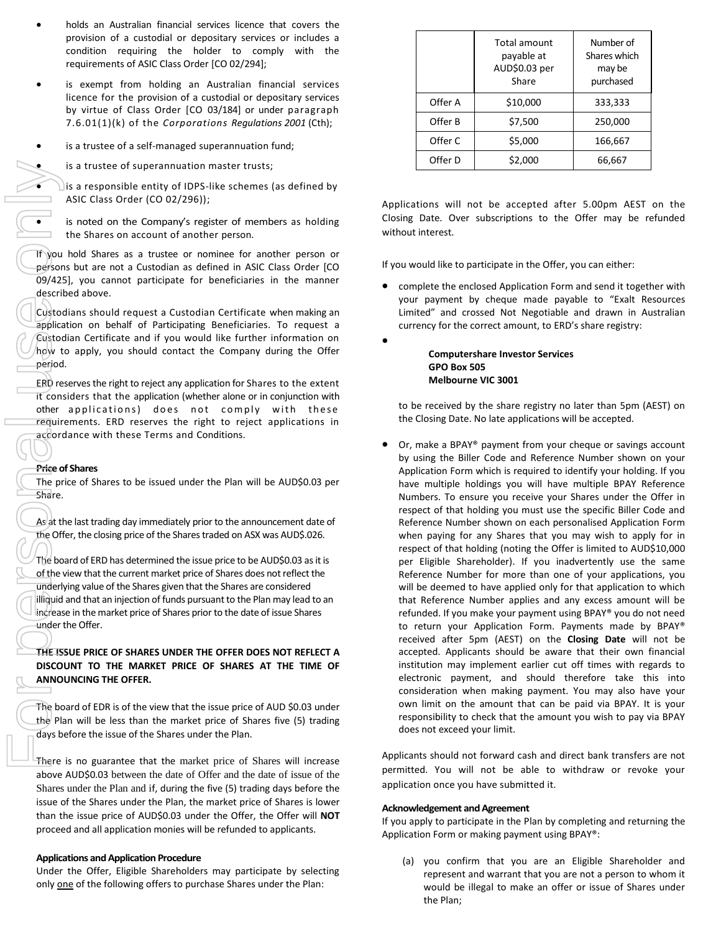- holds an Australian financial services licence that covers the provision of a custodial or depositary services or includes a condition requiring the holder to comply with the requirements of ASIC Class Order [CO 02/294];
- is exempt from holding an Australian financial services licence for the provision of a custodial or depositary services by virtue of Class Order [CO 03/184] or under paragraph 7.6.01(1)(k) of the *Corporations Regulations 2001* (Cth);
- is a trustee of a self-managed superannuation fund;
	- is a trustee of superannuation master trusts;

 $\bigcup$  is a responsible entity of IDPS-like schemes (as defined by ASIC Class Order (CO 02/296));

 is noted on the Company's register of members as holding the Shares on account of another person.

If you hold Shares as a trustee or nominee for another person or persons but are not a Custodian as defined in ASIC Class Order [CO 09/425], you cannot participate for beneficiaries in the manner described above.

Custodians should request a Custodian Certificate when making an application on behalf of Participating Beneficiaries. To request a Custodian Certificate and if you would like further information on how to apply, you should contact the Company during the Offer period.

ERD reserves the right to reject any application for Shares to the extent it considers that the application (whether alone or in conjunction with other applications) does not comply with these requirements. ERD reserves the right to reject applications in accordance with these Terms and Conditions.

#### **Price of Shares**

The price of Shares to be issued under the Plan will be AUD\$0.03 per Share.

As at the last trading day immediately prior to the announcement date of the Offer, the closing price of the Shares traded on ASX was AUD\$.026.

The board of ERD has determined the issue price to be AUD\$0.03 as it is of the view that the current market price of Shares does not reflect the underlying value of the Shares given that the Shares are considered illiquid and that an injection of funds pursuant to the Plan may lead to an increase in the market price of Shares prior to the date of issue Shares under the Offer.

# **THE ISSUE PRICE OF SHARES UNDER THE OFFER DOES NOT REFLECT A DISCOUNT TO THE MARKET PRICE OF SHARES AT THE TIME OF ANNOUNCING THE OFFER.**

The board of EDR is of the view that the issue price of AUD \$0.03 under the Plan will be less than the market price of Shares five (5) trading days before the issue of the Shares under the Plan.

There is no guarantee that the market price of Shares will increase above AUD\$0.03 between the date of Offer and the date of issue of the Shares under the Plan and if, during the five (5) trading days before the issue of the Shares under the Plan, the market price of Shares is lower than the issue price of AUD\$0.03 under the Offer, the Offer will **NOT** proceed and all application monies will be refunded to applicants.

#### **Applications and Application Procedure**

Under the Offer, Eligible Shareholders may participate by selecting only one of the following offers to purchase Shares under the Plan:

|         | Total amount<br>payable at<br>AUD\$0.03 per<br>Share | Number of<br>Shares which<br>may be<br>purchased |
|---------|------------------------------------------------------|--------------------------------------------------|
| Offer A | \$10,000                                             | 333,333                                          |
| Offer B | \$7,500                                              | 250,000                                          |
| Offer C | \$5,000                                              | 166,667                                          |
| Offer D | \$2,000                                              | 66,667                                           |

Applications will not be accepted after 5.00pm AEST on the Closing Date. Over subscriptions to the Offer may be refunded without interest.

If you would like to participate in the Offer, you can either:

 complete the enclosed Application Form and send it together with your payment by cheque made payable to "Exalt Resources Limited" and crossed Not Negotiable and drawn in Australian currency for the correct amount, to ERD's share registry:

> **Computershare Investor Services GPO Box 505 Melbourne VIC 3001**

 $\bullet$ 

to be received by the share registry no later than 5pm (AEST) on the Closing Date. No late applications will be accepted.

 Or, make a BPAY® payment from your cheque or savings account by using the Biller Code and Reference Number shown on your Application Form which is required to identify your holding. If you have multiple holdings you will have multiple BPAY Reference Numbers. To ensure you receive your Shares under the Offer in respect of that holding you must use the specific Biller Code and Reference Number shown on each personalised Application Form when paying for any Shares that you may wish to apply for in respect of that holding (noting the Offer is limited to AUD\$10,000 per Eligible Shareholder). If you inadvertently use the same Reference Number for more than one of your applications, you will be deemed to have applied only for that application to which that Reference Number applies and any excess amount will be refunded. If you make your payment using BPAY® you do not need to return your Application Form. Payments made by BPAY® received after 5pm (AEST) on the **Closing Date** will not be accepted. Applicants should be aware that their own financial institution may implement earlier cut off times with regards to electronic payment, and should therefore take this into consideration when making payment. You may also have your own limit on the amount that can be paid via BPAY. It is your responsibility to check that the amount you wish to pay via BPAY does not exceed your limit.

Applicants should not forward cash and direct bank transfers are not permitted. You will not be able to withdraw or revoke your application once you have submitted it.

#### **Acknowledgement and Agreement**

If you apply to participate in the Plan by completing and returning the Application Form or making payment using BPAY®:

(a) you confirm that you are an Eligible Shareholder and represent and warrant that you are not a person to whom it would be illegal to make an offer or issue of Shares under the Plan;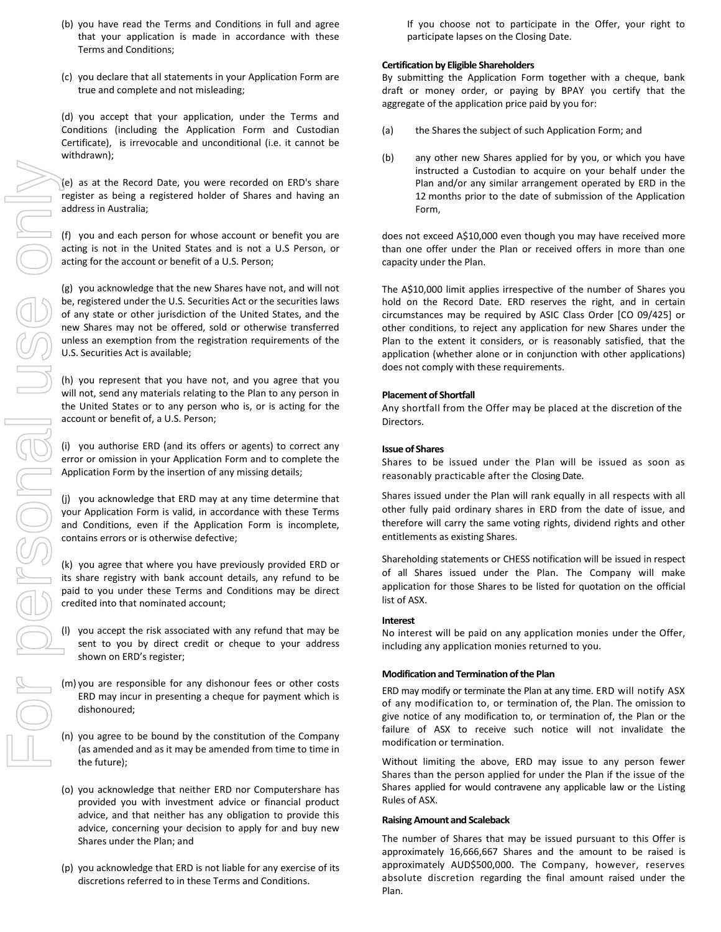- For personal use only
- (b) you have read the Terms and Conditions in full and agree that your application is made in accordance with these Terms and Conditions;
- (c) you declare that all statements in your Application Form are true and complete and not misleading;

(d) you accept that your application, under the Terms and Conditions (including the Application Form and Custodian Certificate), is irrevocable and unconditional (i.e. it cannot be withdrawn);

(e) as at the Record Date, you were recorded on ERD's share register as being a registered holder of Shares and having an address in Australia;

(f) you and each person for whose account or benefit you are acting is not in the United States and is not a U.S Person, or acting for the account or benefit of a U.S. Person;

(g) you acknowledge that the new Shares have not, and will not be, registered under the U.S. Securities Act or the securities laws of any state or other jurisdiction of the United States, and the new Shares may not be offered, sold or otherwise transferred unless an exemption from the registration requirements of the U.S. Securities Act is available;

(h) you represent that you have not, and you agree that you will not, send any materials relating to the Plan to any person in the United States or to any person who is, or is acting for the account or benefit of, a U.S. Person;

(i) you authorise ERD (and its offers or agents) to correct any error or omission in your Application Form and to complete the Application Form by the insertion of any missing details;

(j) you acknowledge that ERD may at any time determine that your Application Form is valid, in accordance with these Terms and Conditions, even if the Application Form is incomplete, contains errors or is otherwise defective;

(k) you agree that where you have previously provided ERD or its share registry with bank account details, any refund to be paid to you under these Terms and Conditions may be direct credited into that nominated account;

- (l) you accept the risk associated with any refund that may be sent to you by direct credit or cheque to your address shown on ERD's register;
- (m) you are responsible for any dishonour fees or other costs ERD may incur in presenting a cheque for payment which is dishonoured;
- (n) you agree to be bound by the constitution of the Company (as amended and as it may be amended from time to time in the future);
- (o) you acknowledge that neither ERD nor Computershare has provided you with investment advice or financial product advice, and that neither has any obligation to provide this advice, concerning your decision to apply for and buy new Shares under the Plan; and
- (p) you acknowledge that ERD is not liable for any exercise of its discretions referred to in these Terms and Conditions.

If you choose not to participate in the Offer, your right to participate lapses on the Closing Date.

## **Certification by Eligible Shareholders**

By submitting the Application Form together with a cheque, bank draft or money order, or paying by BPAY you certify that the aggregate of the application price paid by you for:

- (a) the Shares the subject of such Application Form; and
- (b) any other new Shares applied for by you, or which you have instructed a Custodian to acquire on your behalf under the Plan and/or any similar arrangement operated by ERD in the 12 months prior to the date of submission of the Application Form,

does not exceed A\$10,000 even though you may have received more than one offer under the Plan or received offers in more than one capacity under the Plan.

The A\$10,000 limit applies irrespective of the number of Shares you hold on the Record Date. ERD reserves the right, and in certain circumstances may be required by ASIC Class Order [CO 09/425] or other conditions, to reject any application for new Shares under the Plan to the extent it considers, or is reasonably satisfied, that the application (whether alone or in conjunction with other applications) does not comply with these requirements.

## **Placement of Shortfall**

Any shortfall from the Offer may be placed at the discretion of the Directors.

## **Issue of Shares**

Shares to be issued under the Plan will be issued as soon as reasonably practicable after the Closing Date.

Shares issued under the Plan will rank equally in all respects with all other fully paid ordinary shares in ERD from the date of issue, and therefore will carry the same voting rights, dividend rights and other entitlements as existing Shares.

Shareholding statements or CHESS notification will be issued in respect of all Shares issued under the Plan. The Company will make application for those Shares to be listed for quotation on the official list of ASX.

#### **Interest**

No interest will be paid on any application monies under the Offer, including any application monies returned to you.

## **Modification and Termination of the Plan**

ERD may modify or terminate the Plan at any time. ERD will notify ASX of any modification to, or termination of, the Plan. The omission to give notice of any modification to, or termination of, the Plan or the failure of ASX to receive such notice will not invalidate the modification or termination.

Without limiting the above, ERD may issue to any person fewer Shares than the person applied for under the Plan if the issue of the Shares applied for would contravene any applicable law or the Listing Rules of ASX.

#### **Raising Amount and Scaleback**

The number of Shares that may be issued pursuant to this Offer is approximately 16,666,667 Shares and the amount to be raised is approximately AUD\$500,000. The Company, however, reserves absolute discretion regarding the final amount raised under the Plan.